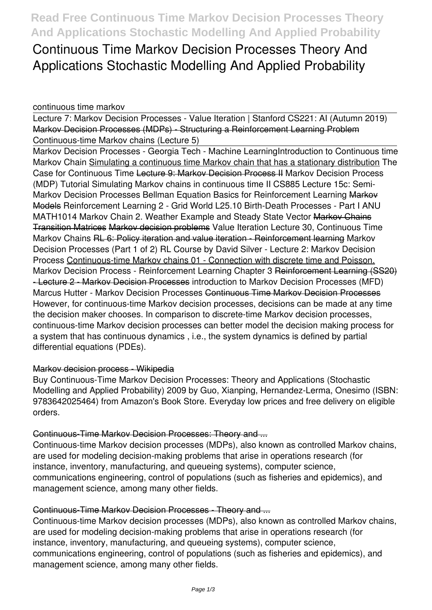**Continuous Time Markov Decision Processes Theory And Applications Stochastic Modelling And Applied Probability**

# *continuous time markov*

Lecture 7: Markov Decision Processes - Value Iteration | Stanford CS221: AI (Autumn 2019) Markov Decision Processes (MDPs) - Structuring a Reinforcement Learning Problem *Continuous-time Markov chains (Lecture 5)*

Markov Decision Processes - Georgia Tech - Machine Learning*Introduction to Continuous time Markov Chain* Simulating a continuous time Markov chain that has a stationary distribution *The Case for Continuous Time* Lecture 9: Markov Decision Process II Markov Decision Process (MDP) Tutorial Simulating Markov chains in continuous time II *CS885 Lecture 15c: Semi-Markov Decision Processes Bellman Equation Basics for Reinforcement Learning* Markov Models *Reinforcement Learning 2 - Grid World* **L25.10 Birth-Death Processes - Part I** *ANU MATH1014 Markov Chain 2. Weather Example and Steady State Vector* Markov Chains Transition Matrices Markov decision problems *Value Iteration Lecture 30, Continuous Time Markov Chains* RL 6: Policy iteration and value iteration - Reinforcement learning Markov Decision Processes (Part 1 of 2) RL Course by David Silver - Lecture 2: Markov Decision Process Continuous-time Markov chains 01 - Connection with discrete time and Poisson. *Markov Decision Process - Reinforcement Learning Chapter 3* Reinforcement Learning (SS20) - Lecture 2 - Markov Decision Processes introduction to Markov Decision Processes (MFD) Marcus Hutter - Markov Decision Processes Continuous Time Markov Decision Processes However, for continuous-time Markov decision processes, decisions can be made at any time the decision maker chooses. In comparison to discrete-time Markov decision processes, continuous-time Markov decision processes can better model the decision making process for a system that has continuous dynamics , i.e., the system dynamics is defined by partial differential equations (PDEs).

# Markov decision process - Wikipedia

Buy Continuous-Time Markov Decision Processes: Theory and Applications (Stochastic Modelling and Applied Probability) 2009 by Guo, Xianping, Hernandez-Lerma, Onesimo (ISBN: 9783642025464) from Amazon's Book Store. Everyday low prices and free delivery on eligible orders.

# Continuous-Time Markov Decision Processes: Theory and ...

Continuous-time Markov decision processes (MDPs), also known as controlled Markov chains, are used for modeling decision-making problems that arise in operations research (for instance, inventory, manufacturing, and queueing systems), computer science, communications engineering, control of populations (such as fisheries and epidemics), and management science, among many other fields.

# Continuous-Time Markov Decision Processes - Theory and ...

Continuous-time Markov decision processes (MDPs), also known as controlled Markov chains, are used for modeling decision-making problems that arise in operations research (for instance, inventory, manufacturing, and queueing systems), computer science, communications engineering, control of populations (such as fisheries and epidemics), and management science, among many other fields.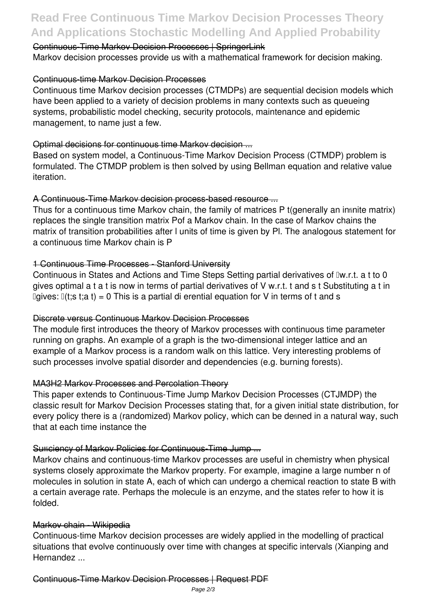# **Read Free Continuous Time Markov Decision Processes Theory And Applications Stochastic Modelling And Applied Probability**

### Continuous-Time Markov Decision Processes | SpringerLink

Markov decision processes provide us with a mathematical framework for decision making.

#### Continuous-time Markov Decision Processes

Continuous time Markov decision processes (CTMDPs) are sequential decision models which have been applied to a variety of decision problems in many contexts such as queueing systems, probabilistic model checking, security protocols, maintenance and epidemic management, to name just a few.

# Optimal decisions for continuous time Markov decision ...

Based on system model, a Continuous-Time Markov Decision Process (CTMDP) problem is formulated. The CTMDP problem is then solved by using Bellman equation and relative value iteration.

# A Continuous-Time Markov decision process-based resource ...

Thus for a continuous time Markov chain, the family of matrices P t(generally an infinite matrix) replaces the single transition matrix Pof a Markov chain. In the case of Markov chains the matrix of transition probabilities after l units of time is given by Pl. The analogous statement for a continuous time Markov chain is P

# 1 Continuous Time Processes - Stanford University

Continuous in States and Actions and Time Steps Setting partial derivatives of Iw.r.t. a t to 0 gives optimal a t a t is now in terms of partial derivatives of V w.r.t. t and s t Substituting a t in  $I$ gives:  $I(t; s t; a t) = 0$  This is a partial di erential equation for V in terms of t and s

#### Discrete versus Continuous Markov Decision Processes

The module first introduces the theory of Markov processes with continuous time parameter running on graphs. An example of a graph is the two-dimensional integer lattice and an example of a Markov process is a random walk on this lattice. Very interesting problems of such processes involve spatial disorder and dependencies (e.g. burning forests).

#### MA3H2 Markov Processes and Percolation Theory

This paper extends to Continuous-Time Jump Markov Decision Processes (CTJMDP) the classic result for Markov Decision Processes stating that, for a given initial state distribution, for every policy there is a (randomized) Markov policy, which can be defined in a natural way, such that at each time instance the

#### Sufficiency of Markov Policies for Continuous Time Jump ...

Markov chains and continuous-time Markov processes are useful in chemistry when physical systems closely approximate the Markov property. For example, imagine a large number n of molecules in solution in state A, each of which can undergo a chemical reaction to state B with a certain average rate. Perhaps the molecule is an enzyme, and the states refer to how it is folded.

#### Markov chain - Wikipedia

Continuous-time Markov decision processes are widely applied in the modelling of practical situations that evolve continuously over time with changes at specific intervals (Xianping and Hernandez ...